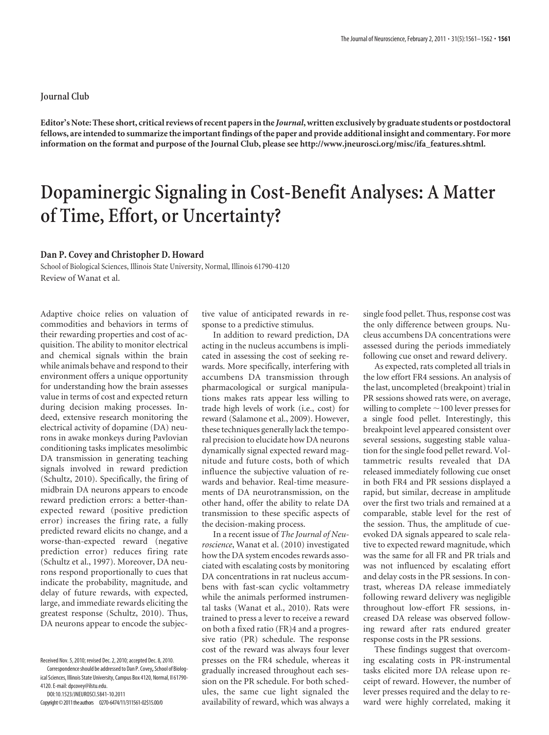## **Journal Club**

**Editor's Note: These short, critical reviews of recent papers in the** *Journal***, written exclusively by graduate students or postdoctoral fellows, are intended to summarize the important findings of the paper and provide additional insight and commentary. For more information on the format and purpose of the Journal Club, please see http://www.jneurosci.org/misc/ifa\_features.shtml.**

## **Dopaminergic Signaling in Cost-Benefit Analyses: A Matter of Time, Effort, or Uncertainty?**

## **Dan P. Covey and Christopher D. Howard**

School of Biological Sciences, Illinois State University, Normal, Illinois 61790-4120 Review of Wanat et al.

Adaptive choice relies on valuation of commodities and behaviors in terms of their rewarding properties and cost of acquisition. The ability to monitor electrical and chemical signals within the brain while animals behave and respond to their environment offers a unique opportunity for understanding how the brain assesses value in terms of cost and expected return during decision making processes. Indeed, extensive research monitoring the electrical activity of dopamine (DA) neurons in awake monkeys during Pavlovian conditioning tasks implicates mesolimbic DA transmission in generating teaching signals involved in reward prediction (Schultz, 2010). Specifically, the firing of midbrain DA neurons appears to encode reward prediction errors: a better-thanexpected reward (positive prediction error) increases the firing rate, a fully predicted reward elicits no change, and a worse-than-expected reward (negative prediction error) reduces firing rate (Schultz et al., 1997). Moreover, DA neurons respond proportionally to cues that indicate the probability, magnitude, and delay of future rewards, with expected, large, and immediate rewards eliciting the greatest response (Schultz, 2010). Thus, DA neurons appear to encode the subjective value of anticipated rewards in response to a predictive stimulus.

In addition to reward prediction, DA acting in the nucleus accumbens is implicated in assessing the cost of seeking rewards. More specifically, interfering with accumbens DA transmission through pharmacological or surgical manipulations makes rats appear less willing to trade high levels of work (i.e., cost) for reward (Salamone et al., 2009). However, these techniques generally lack the temporal precision to elucidate how DA neurons dynamically signal expected reward magnitude and future costs, both of which influence the subjective valuation of rewards and behavior. Real-time measurements of DA neurotransmission, on the other hand, offer the ability to relate DA transmission to these specific aspects of the decision-making process.

In a recent issue of *The Journal of Neuroscience*, Wanat et al. (2010) investigated how the DA system encodes rewards associated with escalating costs by monitoring DA concentrations in rat nucleus accumbens with fast-scan cyclic voltammetry while the animals performed instrumental tasks (Wanat et al., 2010). Rats were trained to press a lever to receive a reward on both a fixed ratio (FR)4 and a progressive ratio (PR) schedule. The response cost of the reward was always four lever presses on the FR4 schedule, whereas it gradually increased throughout each session on the PR schedule. For both schedules, the same cue light signaled the availability of reward, which was always a

single food pellet. Thus, response cost was the only difference between groups. Nucleus accumbens DA concentrations were assessed during the periods immediately following cue onset and reward delivery.

As expected, rats completed all trials in the low effort FR4 sessions. An analysis of the last, uncompleted (breakpoint) trial in PR sessions showed rats were, on average, willing to complete  $\sim$  100 lever presses for a single food pellet. Interestingly, this breakpoint level appeared consistent over several sessions, suggesting stable valuation for the single food pellet reward. Voltammetric results revealed that DA released immediately following cue onset in both FR4 and PR sessions displayed a rapid, but similar, decrease in amplitude over the first two trials and remained at a comparable, stable level for the rest of the session. Thus, the amplitude of cueevoked DA signals appeared to scale relative to expected reward magnitude, which was the same for all FR and PR trials and was not influenced by escalating effort and delay costs in the PR sessions. In contrast, whereas DA release immediately following reward delivery was negligible throughout low-effort FR sessions, increased DA release was observed following reward after rats endured greater response costs in the PR sessions.

These findings suggest that overcoming escalating costs in PR-instrumental tasks elicited more DA release upon receipt of reward. However, the number of lever presses required and the delay to reward were highly correlated, making it

Received Nov. 5, 2010; revised Dec. 2, 2010; accepted Dec. 8, 2010. Correspondenceshould be addressedto Dan P. Covey**,**School of Biolog-

ical Sciences, Illinois State University, Campus Box 4120, Normal, Il 61790- 4120. E-mail: dpcovey@ilstu.edu.

DOI:10.1523/JNEUROSCI.5841-10.2011

Copyright©2011theauthors 0270-6474/11/311561-02\$15.00/0